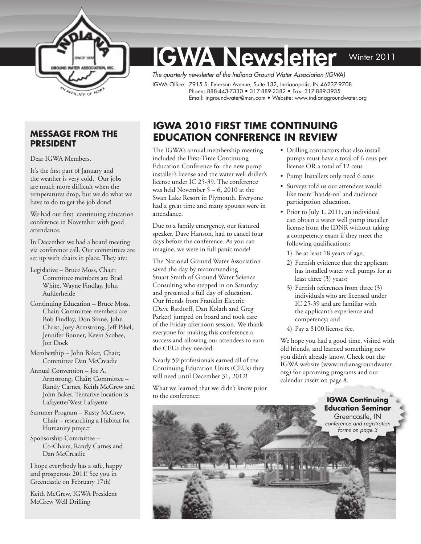

# **IGWA Newsletter** Winter 2011

*The quarterly newsletter of the Indiana Ground Water Association (IGWA)*  IGWA Office: 7915 S. Emerson Avenue, Suite 132, Indianapolis, IN 46237-9708 Phone: 888-443-7330 • 317-889-2382 • Fax: 317-889-3935 Email: [ingroundwater@msn.com](mailto:ingroundwater@msn.com) • Website: [www.indianagroundwater.org](http://www.indianagroundwater.org) 

## **Message from the President**

Dear IGWA Members,

It's the first part of January and the weather is very cold. Our jobs are much more difficult when the temperatures drop, but we do what we have to do to get the job done!

We had our first continuing education conference in November with good attendance.

In December we had a board meeting via conference call. Our committees are set up with chairs in place. They are:

- Legislative Bruce Moss, Chair; Committee members are Brad White, Wayne Findlay, John Aufderheide
- Continuing Education Bruce Moss, Chair; Committee members are Bob Findlay, Don Stone, John Christ, Joey Armstrong, Jeff Pikel, Jennifer Bonner, Kevin Scobee, Jon Dock
- Membership John Baker, Chair; Committee Dan McCreadie
- Annual Convention Joe A. Armstrong, Chair; Committee – Randy Carnes, Keith McGrew and John Baker. Tentative location is Lafayette/West Lafayette
- Summer Program Rusty McGrew, Chair – researching a Habitat for Humanity project
- Sponsorship Committee Co-Chairs, Randy Carnes and Dan McCreadie

I hope everybody has a safe, happy and prosperous 2011! See you in Greencastle on February 17th!

Keith McGrew, IGWA President McGrew Well Drilling

# **IGWA 2010 First Time Continuing Education Conference in Review**

The IGWA's annual membership meeting included the First-Time Continuing Education Conference for the new pump installer's license and the water well driller's license under IC 25-39. The conference was held November  $5 - 6$ , 2010 at the Swan Lake Resort in Plymouth. Everyone had a great time and many spouses were in attendance.

Due to a family emergency, our featured speaker, Dave Hanson, had to cancel four days before the conference. As you can imagine, we were in full panic mode!

The National Ground Water Association saved the day by recommending Stuart Smith of Ground Water Science Consulting who stepped in on Saturday and presented a full day of education. Our friends from Franklin Electric (Dave Batdorff, Dan Kolath and Greg Parker) jumped on board and took care of the Friday afternoon session. We thank everyone for making this conference a success and allowing our attendees to earn the CEUs they needed.

Nearly 59 professionals earned all of the Continuing Education Units (CEUs) they will need until December 31, 2012!

What we learned that we didn't know prior to the conference:

- Drilling contractors that also install pumps must have a total of 6 ceus per license OR a total of 12 ceus
- Pump Installers only need 6 ceus
- Surveys told us our attendees would like more 'hands-on' and audience participation education.
- Prior to July 1, 2011, an individual can obtain a water well pump installer license from the IDNR without taking a competency exam if they meet the following qualifications:
	- 1) Be at least 18 years of age;
	- 2) Furnish evidence that the applicant has installed water well pumps for at least three (3) years;
	- 3) Furnish references from three (3) individuals who are licensed under IC 25-39 and are familiar with the applicant's experience and competency; and
	- 4) Pay a \$100 license fee.

We hope you had a good time, visited with old friends, and learned something new you didn't already know. Check out the IGWA website [\(www.indianagroundwater.](http://www.indianagroundwater.org) [org\)](http://www.indianagroundwater.org) for upcoming programs and our calendar insert on page 8.

> **IGWA Continuing Education Seminar**  Greencastle, IN *conference and registration*

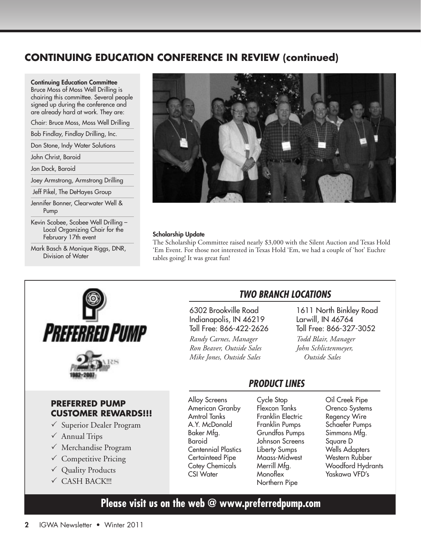# **Continuing Education Conference in Review (continued)**

Continuing Education Committee

Bruce Moss of Moss Well Drilling is chairing this committee. Several people signed up during the conference and are already hard at work. They are:

Chair: Bruce Moss, Moss Well Drilling

Bob Findlay, Findlay Drilling, Inc.

Don Stone, Indy Water Solutions

John Christ, Baroid

Jon Dock, Baroid

Joey Armstrong, Armstrong Drilling

Jeff Pikel, The DeHayes Group

Jennifer Bonner, Clearwater Well & Pump

Kevin Scobee, Scobee Well Drilling – Local Organizing Chair for the February 17th event

Mark Basch & Monique Riggs, DNR, Division of Water



#### Scholarship Update

The Scholarship Committee raised nearly \$3,000 with the Silent Auction and Texas Hold 'Em Event. For those not interested in Texas Hold 'Em, we had a couple of 'hot' Euchre tables going! It was great fun!





## **PREFERRED PUMP CUSTOMER REWARDS!!!**

- $\checkmark$  Superior Dealer Program
- $\checkmark$  Annual Trips
- $\checkmark$  Merchandise Program
- $\checkmark$  Competitive Pricing
- $\checkmark$  Quality Products
- $\checkmark$  CASH BACK!!!

## *Two Branch LocaTions*

6302 Brookville Road Indianapolis, IN 46219 Toll Free: 866-422-2626

*Randy Carnes, Manager Ron Beaver, Outside Sales Mike Jones, Outside Sales*

## 1611 North Binkley Road Larwill, IN 46764 Toll Free: 866-327-3052

*Todd Blair, Manager John Schlictenmeyer, Outside Sales*

## *ProDUcT LinEs*

Alloy Screens American Granby Amtrol Tanks A.Y. McDonald Baker Mfg. Baroid Centennial Plastics Certainteed Pipe Cotey Chemicals CSI Water

Cycle Stop Flexcon Tanks Franklin Electric Franklin Pumps Grundfos Pumps Johnson Screens Liberty Sumps Maass-Midwest Merrill Mfa. **Monoflex** Northern Pipe

Oil Creek Pipe Orenco Systems Regency Wire Schaefer Pumps Simmons Mfg. Square D Wells Adapters Western Rubber Woodford Hydrants Yaskawa VFD's

# **[Please visit us on the web @ www.preferredpump.com](http://www.preferredpump.com)**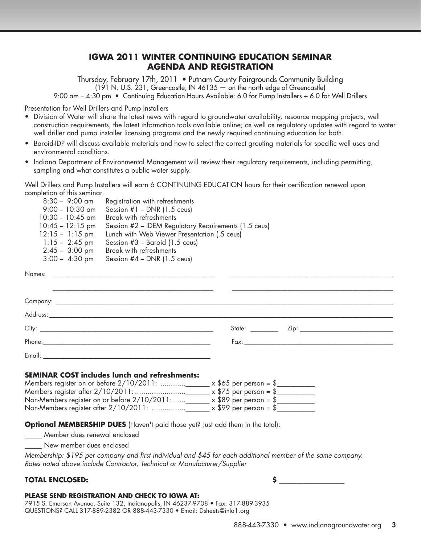## **IGWA 2011 WINTER CONTINUING EDUCATION SEMINAR AGENDA AND REGISTRATION**

Thursday, February 17th, 2011 • Putnam County Fairgrounds Community Building  $(191$  N. U.S. 231, Greencastle, IN 46135  $-$  on the north edge of Greencastle) 9:00 am – 4:30 pm • Continuing Education Hours Available: 6.0 for Pump Installers + 6.0 for Well Drillers

Presentation for Well Drillers and Pump Installers

- Division of Water will share the latest news with regard to groundwater availability, resource mapping projects, well construction requirements, the latest information tools available online; as well as regulatory updates with regard to water well driller and pump installer licensing programs and the newly required continuing education for both.
- Baroid-IDP will discuss available materials and how to select the correct grouting materials for specific well uses and environmental conditions.
- Indiana Department of Environmental Management will review their regulatory requirements, including permitting, sampling and what constitutes a public water supply.

Well Drillers and Pump Installers will earn 6 CONTINUING EDUCATION hours for their certification renewal upon completion of this seminar.

| $8:30 - 9:00$ am         | Registration with refreshments                       |
|--------------------------|------------------------------------------------------|
| $9:00 - 10:30$ am        | Session $#1$ – DNR (1.5 ceus)                        |
| $10:30 - 10:45$ am       | Break with refreshments                              |
| $10:45 - 12:15$ pm       | Session #2 – IDEM Regulatory Requirements (1.5 ceus) |
| $12:15 - 1:15$ pm        | Lunch with Web Viewer Presentation (.5 ceus)         |
| $1:15 - 2:45$ pm         | Session $#3$ – Baroid (1.5 ceus)                     |
| $2:45 - 3:00 \text{ pm}$ | Break with refreshments                              |
| $3:00 - 4:30$ pm         | Session $#4$ – DNR (1.5 ceus)                        |
|                          |                                                      |

| Names: |  |  |
|--------|--|--|
|        |  |  |
|        |  |  |
|        |  |  |
|        |  |  |
|        |  |  |
| Email: |  |  |

#### **SEMINAR COST includes lunch and refreshments:**

| Members register on or before 2/10/2011:<br>$\mathsf{x}$ \$65 per person = \$ |  |
|-------------------------------------------------------------------------------|--|
| Members register after 2/10/2011:<br>$\mathsf{x}$ \$75 per person = \$        |  |
| Non-Members register on or before 2/10/2011:<br>$\times$ \$89 per person = \$ |  |
| Non-Members register after 2/10/2011:<br>$\mathbf{x}$ \$99 per person = \$    |  |

**Optional MEMBERSHIP DUES** (Haven't paid those yet? Just add them in the total):

\_\_\_\_\_ Member dues renewal enclosed

New member dues enclosed

*Membership: \$195 per company and first individual and \$45 for each additional member of the same company. Rates noted above include Contractor, Technical or Manufacturer/Supplier*

#### **TOTAL ENCLOSED:**

#### **PLEASE SEND REGISTRATION AND CHECK TO IGWA AT:**

7915 S. Emerson Avenue, Suite 132, Indianapolis, IN 46237-9708 • Fax: 317-889-3935 QUESTIONS? CALL 317-889-2382 OR 888-443-7330 • Email: [Dsheets@inla1.org](mailto:dsheets%40inla1.org?subject=Continuing%20Education%20Seminar%202011)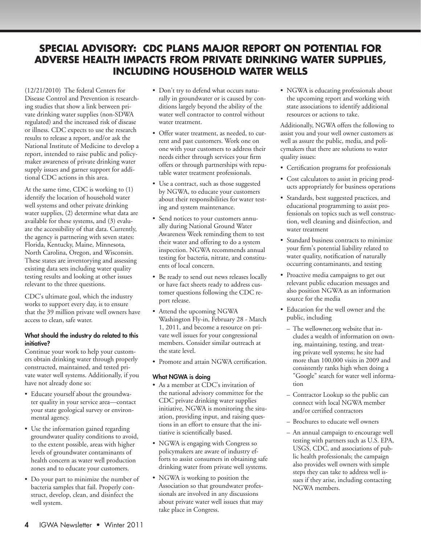## **SPECIAL ADVISORY: CDC Plans Major Report on Potential for Adverse Health Impacts from Private Drinking Water Supplies, Including Household Water Wells**

(12/21/2010) The federal Centers for Disease Control and Prevention is researching studies that show a link between private drinking water supplies (non-SDWA regulated) and the increased risk of disease or illness. CDC expects to use the research results to release a report, and/or ask the National Institute of Medicine to develop a report, intended to raise public and policymaker awareness of private drinking water supply issues and garner support for additional CDC actions in this area.

At the same time, CDC is working to (1) identify the location of household water well systems and other private drinking water supplies, (2) determine what data are available for these systems, and (3) evaluate the accessibility of that data. Currently, the agency is partnering with seven states: Florida, Kentucky, Maine, Minnesota, North Carolina, Oregon, and Wisconsin. These states are inventorying and assessing existing data sets including water quality testing results and looking at other issues relevant to the three questions.

CDC's ultimate goal, which the industry works to support every day, is to ensure that the 39 million private well owners have access to clean, safe water.

#### What should the industry do related to this initiative?

Continue your work to help your customers obtain drinking water through properly constructed, maintained, and tested private water well systems. Additionally, if you have not already done so:

- Educate yourself about the groundwater quality in your service area—contact your state geological survey or environmental agency.
- Use the information gained regarding groundwater quality conditions to avoid, to the extent possible, areas with higher levels of groundwater contaminants of health concern as water well production zones and to educate your customers.
- Do your part to minimize the number of bacteria samples that fail. Properly construct, develop, clean, and disinfect the well system.
- Don't try to defend what occurs naturally in groundwater or is caused by conditions largely beyond the ability of the water well contractor to control without water treatment.
- Offer water treatment, as needed, to current and past customers. Work one on one with your customers to address their needs either through services your firm offers or through partnerships with reputable water treatment professionals.
- Use a contract, such as those suggested by NGWA, to educate your customers about their responsibilities for water testing and system maintenance.
- Send notices to your customers annually during National Ground Water Awareness Week reminding them to test their water and offering to do a system inspection. NGWA recommends annual testing for bacteria, nitrate, and constituents of local concern.
- Be ready to send out news releases locally or have fact sheets ready to address customer questions following the CDC report release.
- Attend the upcoming NGWA Washington Fly-in, February 28 - March 1, 2011, and become a resource on private well issues for your congressional members. Consider similar outreach at the state level.
- Promote and attain NGWA certification.

#### What NGWA is doing

- As a member at CDC's invitation of the national advisory committee for the CDC private drinking water supplies initiative, NGWA is monitoring the situation, providing input, and raising questions in an effort to ensure that the initiative is scientifically based.
- NGWA is engaging with Congress so policymakers are aware of industry efforts to assist consumers in obtaining safe drinking water from private well systems.
- NGWA is working to position the Association so that groundwater professionals are involved in any discussions about private water well issues that may take place in Congress.

• NGWA is educating professionals about the upcoming report and working with state associations to identify additional resources or actions to take.

Additionally, NGWA offers the following to assist you and your well owner customers as well as assure the public, media, and policymakers that there are solutions to water quality issues:

- Certification programs for professionals
- Cost calculators to assist in pricing products appropriately for business operations
- Standards, best suggested practices, and educational programming to assist professionals on topics such as well construction, well cleaning and disinfection, and water treatment
- Standard business contracts to minimize your firm's potential liability related to water quality, notification of naturally occurring contaminants, and testing
- Proactive media campaigns to get out relevant public education messages and also position NGWA as an information source for the media
- Education for the well owner and the public, including
	- The wellowner.org website that includes a wealth of information on owning, maintaining, testing, and treating private well systems; he site had more than 100,000 visits in 2009 and consistently ranks high when doing a "Google" search for water well information
	- Contractor Lookup so the public can connect with local NGWA member and/or certified contractors
	- Brochures to educate well owners
	- An annual campaign to encourage well testing with partners such as U.S. EPA, USGS, CDC, and associations of public health professionals; the campaign also provides well owners with simple steps they can take to address well issues if they arise, including contacting NGWA members.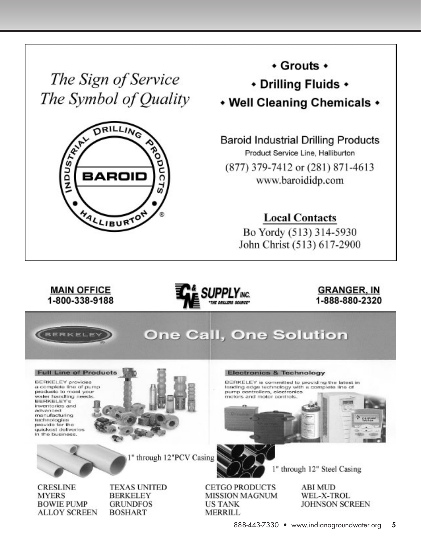The Sign of Service The Symbol of Quality



+ Grouts +

◆ Drilling Fluids ◆

• Well Cleaning Chemicals •

**Baroid Industrial Drilling Products** Product Service Line, Halliburton (877) 379-7412 or (281) 871-4613 www.baroididp.com

**Local Contacts** 

Bo Yordy (513) 314-5930 John Christ (513) 617-2900

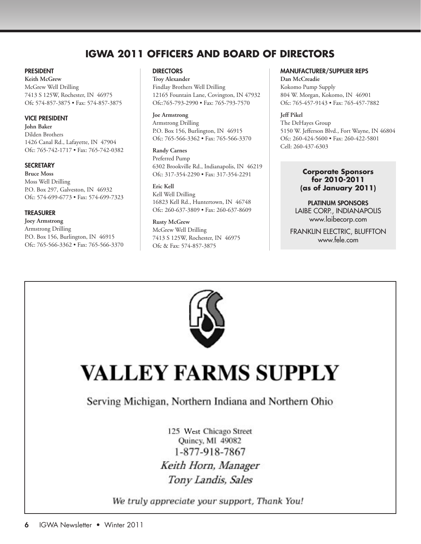# **IGWA 2011 Officers and Board of Directors**

#### **PRESIDENT**

**Keith McGrew** McGrew Well Drilling 7413 S 125W, Rochester, IN 46975 Ofc 574-857-3875 • Fax: 574-857-3875

#### Vice President

**John Baker** Dilden Brothers 1426 Canal Rd., Lafayette, IN 47904 Ofc: 765-742-1717 • Fax: 765-742-0382

#### **SECRETARY**

**Bruce Moss** Moss Well Drilling P.O. Box 297, Galveston, IN 46932 Ofc: 574-699-6773 • Fax: 574-699-7323

#### **TREASURER**

**Joey Armstrong** Armstrong Drilling P.O. Box 156, Burlington, IN 46915 Ofc: 765-566-3362 • Fax: 765-566-3370

#### **DIRECTORS**

**Troy Alexander** Findlay Brothers Well Drilling 12165 Fountain Lane, Covington, IN 47932 Ofc:765-793-2990 • Fax: 765-793-7570

**Joe Armstrong** Armstrong Drilling P.O. Box 156, Burlington, IN 46915 Ofc: 765-566-3362 • Fax: 765-566-3370

**Randy Carnes** Preferred Pump 6302 Brookville Rd., Indianapolis, IN 46219 Ofc: 317-354-2290 • Fax: 317-354-2291

**Eric Kell** Kell Well Drilling 16823 Kell Rd., Huntertown, IN 46748

Ofc: 260-637-3809 • Fax: 260-637-8609

**Rusty McGrew** McGrew Well Drilling 7413 S 125W, Rochester, IN 46975 Ofc & Fax: 574-857-3875

#### Manufacturer/Supplier Reps

**Dan McCreadie**  Kokomo Pump Supply 804 W. Morgan, Kokomo, IN 46901 Ofc: 765-457-9143 • Fax: 765-457-7882

**Jeff Pikel** The DeHayes Group 5150 W. Jefferson Blvd., Fort Wayne, IN 46804 Ofc: 260-424-5600 • Fax: 260-422-5801 Cell: 260-437-6303

#### **Corporate Sponsors for 2010-2011 (as of January 2011)**

PLATINUM SPONSORS LAIBE CORP., INDIANAPOLIS [www.laibecorp.com](http://www.laibecorp.com)

FRANKLIN ELECTRIC, BLUFFTON www.fele.com



# **VALLEY FARMS SUPPLY**

# Serving Michigan, Northern Indiana and Northern Ohio

125 [West](http://www.valleyfarmssupply.com/) Chicago Street<br>Quincy, MI 49082 1-877-918-7867 Keith Horn, Manager Tony Landis, Sales

We truly appreciate your support, Thank You!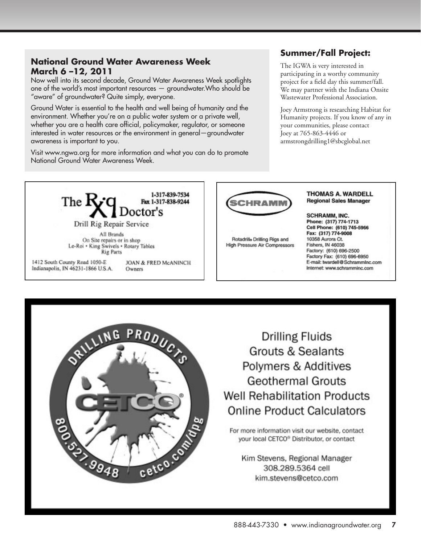## **National Ground Water Awareness Week March 6 –12, 2011**

Now well into its second decade, Ground Water Awareness Week spotlights one of the world's most important resources — groundwater.Who should be "aware" of groundwater? Quite simply, everyone.

Ground Water is essential to the health and well being of humanity and the environment. Whether you're on a public water system or a private well, whether you are a health care official, policymaker, regulator, or someone interested in water resources or the environment in general—groundwater awareness is important to you.

Visit www.ngwa.org for more information and what you can do to promote National Ground Water Awareness Week.

## **Summer/Fall Project:**

The IGWA is very interested in participating in a worthy community project for a field day this summer/fall. We may partner with the Indiana Onsite Wastewater Professional Association.

Joey Armstrong is researching Habitat for Humanity projects. If you know of any in your communities, please contact Joey at 765-863-4446 or armstrongdrilling1@sbcglobal.net



On Site repairs or in shop Le-Roi + King Swivels + Rotary Tables **Rig Parts** 

1412 South County Road 1050-E Indianapolis, IN 46231-1866 U.S.A.

JOAN & FRED McANINCH Owners



Rotadrille Drilling Rigs and **High Pressure Air Compressors** 

#### **THOMAS A. WARDELL Regional Sales Manager**

**SCHRAMM, INC.** Phone: (317) 774-1713 Cell Phone: (610) 745-5966 Fax: (317) 774-9008 10358 Aurora Ct. Fishers, IN 46038 Factory: (610) 696-2500 Factory Fax: (610) 696-6950 E-mail: twardell@SchrammInc.com Internet: www.schramminc.com



**Drilling Fluids Grouts & Sealants** Polymers & Additives **Geothermal Grouts Well Rehabilitation Products Online Product Calculators** 

For more information visit our website, contact your local CETCO® Distributor, or contact

Kim Stevens, Regional Manager 308.289.5364 cell kim.stevens@cetco.com